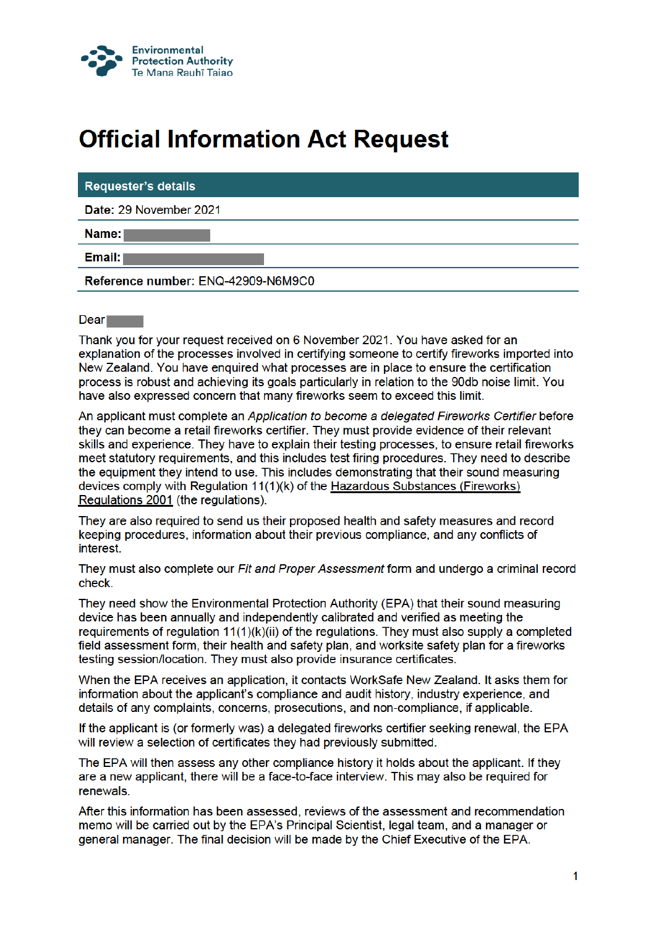

## **Official Information Act Request**

## **Requester's details**

Date: 29 November 2021

Name:

Email: I

Reference number: ENQ-42909-N6M9C0

## Dear and

Thank you for your request received on 6 November 2021. You have asked for an explanation of the processes involved in certifying someone to certify fireworks imported into New Zealand. You have enquired what processes are in place to ensure the certification process is robust and achieving its goals particularly in relation to the 90db noise limit. You have also expressed concern that many fireworks seem to exceed this limit.

An applicant must complete an Application to become a delegated Fireworks Certifier before they can become a retail fireworks certifier. They must provide evidence of their relevant skills and experience. They have to explain their testing processes, to ensure retail fireworks meet statutory requirements, and this includes test firing procedures. They need to describe the equipment they intend to use. This includes demonstrating that their sound measuring devices comply with Regulation 11(1)(k) of the Hazardous Substances (Fireworks) Regulations 2001 (the regulations).

They are also required to send us their proposed health and safety measures and record keeping procedures, information about their previous compliance, and any conflicts of interest.

They must also complete our *Fit and Proper Assessment* form and undergo a criminal record check.

They need show the Environmental Protection Authority (EPA) that their sound measuring device has been annually and independently calibrated and verified as meeting the requirements of requiation 11(1)(k)(ii) of the requiations. They must also supply a completed field assessment form, their health and safety plan, and worksite safety plan for a fireworks testing session/location. They must also provide insurance certificates.

When the EPA receives an application, it contacts WorkSafe New Zealand. It asks them for information about the applicant's compliance and audit history, industry experience, and details of any complaints, concerns, prosecutions, and non-compliance, if applicable.

If the applicant is (or formerly was) a delegated fireworks certifier seeking renewal, the EPA will review a selection of certificates they had previously submitted.

The EPA will then assess any other compliance history it holds about the applicant. If they are a new applicant, there will be a face-to-face interview. This may also be required for renewals.

After this information has been assessed, reviews of the assessment and recommendation memo will be carried out by the EPA's Principal Scientist, legal team, and a manager or general manager. The final decision will be made by the Chief Executive of the EPA.